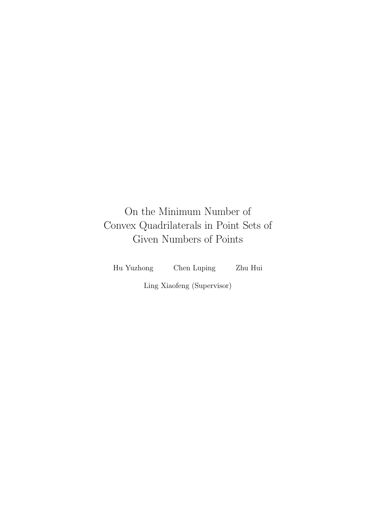## On the Minimum Number of Convex Quadrilaterals in Point Sets of Given Numbers of Points

Hu Yuzhong Chen Luping Zhu Hui

Ling Xiaofeng (Supervisor)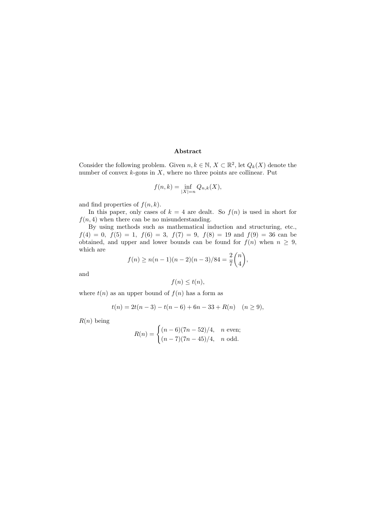#### Abstract

Consider the following problem. Given  $n, k \in \mathbb{N}, X \subset \mathbb{R}^2$ , let  $Q_k(X)$  denote the number of convex  $k$ -gons in  $X$ , where no three points are collinear. Put

$$
f(n,k) = \inf_{|X|=n} Q_{n,k}(X),
$$

and find properties of  $f(n, k)$ .

In this paper, only cases of  $k = 4$  are dealt. So  $f(n)$  is used in short for  $f(n, 4)$  when there can be no misunderstanding.

By using methods such as mathematical induction and structuring, etc.,  $f(4) = 0, f(5) = 1, f(6) = 3, f(7) = 9, f(8) = 19$  and  $f(9) = 36$  can be obtained, and upper and lower bounds can be found for  $f(n)$  when  $n \geq 9$ , which are

$$
f(n) \ge n(n-1)(n-2)(n-3)/84 = \frac{2}{7} {n \choose 4},
$$

and

$$
f(n) \le t(n),
$$

where  $t(n)$  as an upper bound of  $f(n)$  has a form as

$$
t(n) = 2t(n-3) - t(n-6) + 6n - 33 + R(n) \quad (n \ge 9),
$$

 $R(n)$  being

$$
R(n) = \begin{cases} (n-6)(7n-52)/4, & n \text{ even};\\ (n-7)(7n-45)/4, & n \text{ odd}. \end{cases}
$$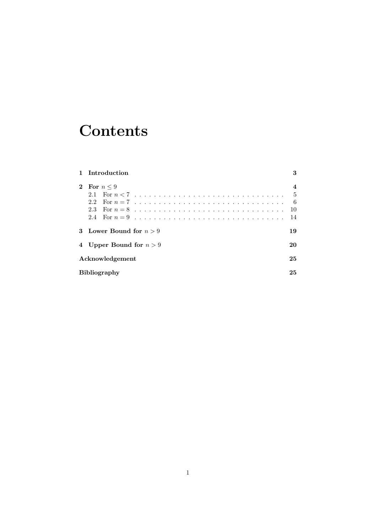# **Contents**

|          | 1 Introduction            | 3                       |  |
|----------|---------------------------|-------------------------|--|
| $\bf{2}$ | For $n \leq 9$            | $\overline{\mathbf{4}}$ |  |
|          | 21                        | - 5                     |  |
|          |                           | - 6                     |  |
|          |                           | -10                     |  |
|          |                           | -14                     |  |
|          | 3 Lower Bound for $n > 9$ | 19                      |  |
|          | 4 Upper Bound for $n > 9$ | 20                      |  |
|          | Acknowledgement           |                         |  |
|          | <b>Bibliography</b>       |                         |  |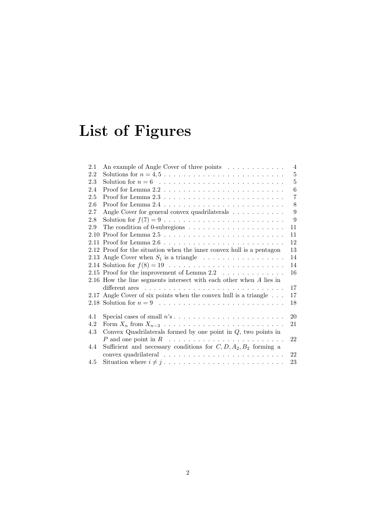# List of Figures

| 2.1 | An example of Angle Cover of three points $\dots \dots \dots$                    | $\overline{4}$ |
|-----|----------------------------------------------------------------------------------|----------------|
| 2.2 | Solutions for $n = 4, 5, \ldots, \ldots, \ldots, \ldots, \ldots, \ldots, \ldots$ | $\overline{5}$ |
| 2.3 |                                                                                  | $\overline{5}$ |
| 2.4 |                                                                                  | 6              |
| 2.5 |                                                                                  | $\overline{7}$ |
| 2.6 |                                                                                  | 8              |
| 2.7 | Angle Cover for general convex quadrilaterals                                    | 9              |
| 2.8 |                                                                                  | 9              |
| 2.9 | The condition of 0-subregions $\dots \dots \dots \dots \dots \dots \dots$        | 11             |
|     |                                                                                  | 11             |
|     |                                                                                  | 12             |
|     | 2.12 Proof for the situation when the inner convex hull is a pentagon            | 13             |
|     | 2.13 Angle Cover when $S_1$ is a triangle $\ldots \ldots \ldots \ldots \ldots$   | 14             |
|     |                                                                                  | 14             |
|     | 2.15 Proof for the improvement of Lemma $2.2 \ldots \ldots \ldots \ldots$        | 16             |
|     | 2.16 How the line segments intersect with each other when A lies in              |                |
|     |                                                                                  | 17             |
|     | 2.17 Angle Cover of six points when the convex hull is a triangle                | 17             |
|     |                                                                                  | 18             |
|     |                                                                                  |                |
| 4.1 |                                                                                  | 20             |
| 4.2 |                                                                                  | 21             |
| 4.3 | Convex Quadrilaterals formed by one point in $Q$ , two points in                 |                |
|     |                                                                                  | 22             |
| 4.4 | Sufficient and necessary conditions for $C, D, A_2, B_2$ forming a               |                |
|     |                                                                                  | $22\,$         |
| 4.5 |                                                                                  | 23             |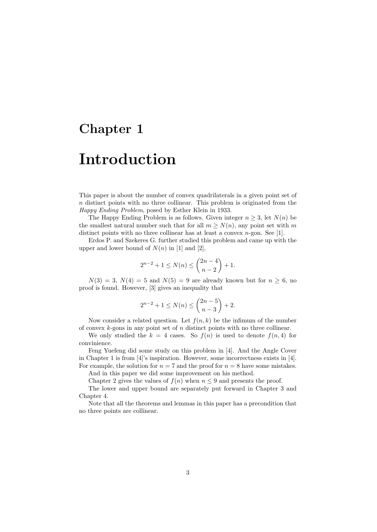## Chapter 1

## Introduction

This paper is about the number of convex quadrilaterals in a given point set of  $n$  distinct points with no three collinear. This problem is originated from the Happy Ending Problem, posed by Esther Klein in 1933.

The Happy Ending Problem is as follows. Given integer  $n \geq 3$ , let  $N(n)$  be the smallest natural number such that for all  $m \ge N(n)$ , any point set with m distinct points with no three collinear has at least a convex  $n$ -gon. See [1].

Erdos P. and Szekeres G. further studied this problem and came up with the upper and lower bound of  $N(n)$  in [1] and [2],

$$
2^{n-2} + 1 \le N(n) \le \binom{2n-4}{n-2} + 1.
$$

 $N(3) = 3, N(4) = 5$  and  $N(5) = 9$  are already known but for  $n > 6$ , no proof is found. However, [3] gives an inequality that

$$
2^{n-2} + 1 \le N(n) \le \binom{2n-5}{n-3} + 2.
$$

Now consider a related question. Let  $f(n, k)$  be the infimum of the number of convex  $k$ -gons in any point set of  $n$  distinct points with no three collinear.

We only studied the  $k = 4$  cases. So  $f(n)$  is used to denote  $f(n, 4)$  for convinience.

Feng Yuefeng did some study on this problem in [4]. And the Angle Cover in Chapter 1 is from [4]'s inspiration. However, some incorrectness exists in [4]. For example, the solution for  $n = 7$  and the proof for  $n = 8$  have some mistakes.

And in this paper we did some improvement on his method.

Chapter 2 gives the values of  $f(n)$  when  $n \leq 9$  and presents the proof.

The lower and upper bound are separately put forward in Chapter 3 and Chapter 4.

Note that all the theorems and lemmas in this paper has a precondition that no three points are collinear.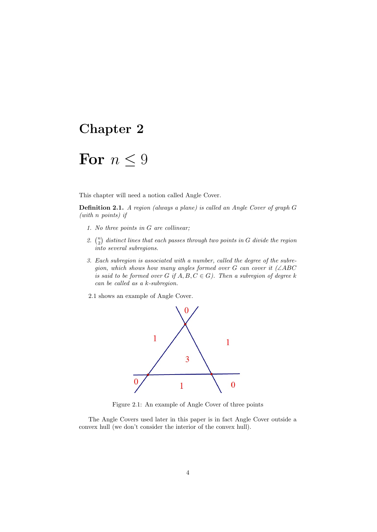### Chapter 2

## For  $n \leq 9$

This chapter will need a notion called Angle Cover.

Definition 2.1. A region (always a plane) is called an Angle Cover of graph G (with n points) if

- 1. No three points in G are collinear;
- 2.  $\binom{n}{2}$  distinct lines that each passes through two points in G divide the region into several subregions.
- 3. Each subregion is associated with a number, called the degree of the subregion, which shows how many angles formed over G can cover it  $(\angle ABC)$ is said to be formed over G if  $A, B, C \in G$ ). Then a subregion of degree k can be called as a k-subregion.
- 2.1 shows an example of Angle Cover.



Figure 2.1: An example of Angle Cover of three points

The Angle Covers used later in this paper is in fact Angle Cover outside a convex hull (we don't consider the interior of the convex hull).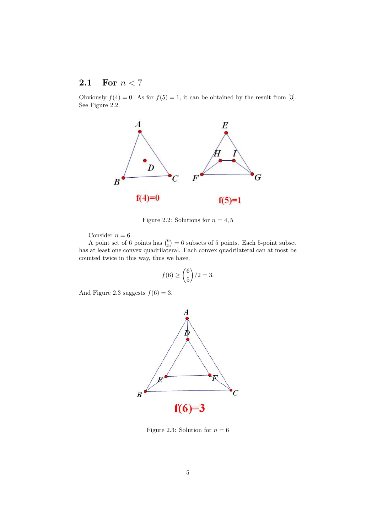### 2.1 For  $n < 7$

Obviously  $f(4) = 0$ . As for  $f(5) = 1$ , it can be obtained by the result from [3]. See Figure 2.2.



Figure 2.2: Solutions for  $n = 4, 5$ 

Consider  $n = 6$ .

A point set of 6 points has  $\binom{6}{5} = 6$  subsets of 5 points. Each 5-point subset has at least one convex quadrilateral. Each convex quadrilateral can at most be counted twice in this way, thus we have,

$$
f(6) \ge \binom{6}{5}/2 = 3.
$$

And Figure 2.3 suggests  $f(6) = 3$ .



Figure 2.3: Solution for  $n = 6$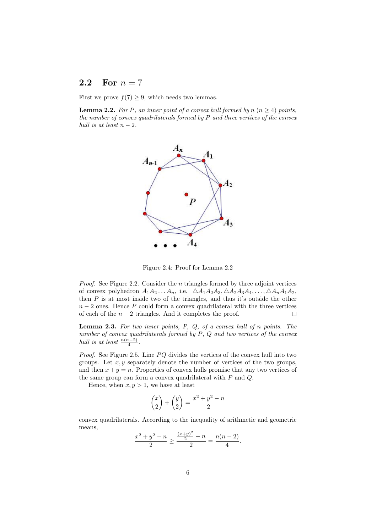#### 2.2 For  $n = 7$

First we prove  $f(7) \geq 9$ , which needs two lemmas.

**Lemma 2.2.** For P, an inner point of a convex hull formed by  $n (n \geq 4)$  points, the number of convex quadrilaterals formed by  $P$  and three vertices of the convex hull is at least  $n-2$ .



Figure 2.4: Proof for Lemma 2.2

*Proof.* See Figure 2.2. Consider the  $n$  triangles formed by three adjoint vertices of convex polyhedron  $A_1A_2 \ldots A_n$ , i.e.  $\Delta A_1A_2A_3 \Delta A_2A_3A_4 \ldots, \Delta A_nA_1A_2$ , then  $P$  is at most inside two of the triangles, and thus it's outside the other  $n-2$  ones. Hence P could form a convex quadrilateral with the three vertices of each of the  $n-2$  triangles. And it completes the proof.  $\Box$ 

Lemma 2.3. For two inner points, P, Q, of a convex hull of n points. The number of convex quadrilaterals formed by P, Q and two vertices of the convex hull is at least  $\frac{n(n-2)}{4}$ .

*Proof.* See Figure 2.5. Line  $PQ$  divides the vertices of the convex hull into two groups. Let  $x, y$  separately denote the number of vertices of the two groups, and then  $x + y = n$ . Properties of convex hulls promise that any two vertices of the same group can form a convex quadrilateral with P and Q.

Hence, when  $x, y > 1$ , we have at least

$$
\binom{x}{2} + \binom{y}{2} = \frac{x^2 + y^2 - n}{2}
$$

convex quadrilaterals. According to the inequality of arithmetic and geometric means,

$$
\frac{x^2 + y^2 - n}{2} \ge \frac{\frac{(x+y)^2}{2} - n}{2} = \frac{n(n-2)}{4}.
$$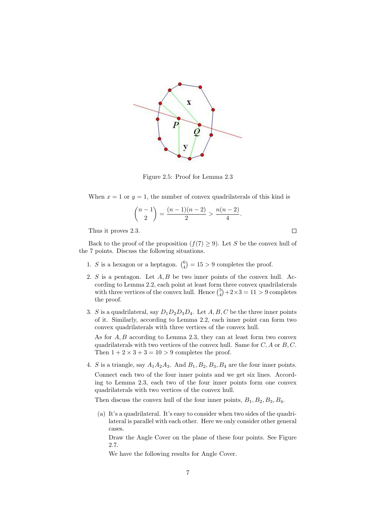

Figure 2.5: Proof for Lemma 2.3

When  $x = 1$  or  $y = 1$ , the number of convex quadrilaterals of this kind is

$$
\binom{n-1}{2} = \frac{(n-1)(n-2)}{2} > \frac{n(n-2)}{4}.
$$

Thus it proves 2.3.

 $\Box$ 

Back to the proof of the proposition  $(f(7) \ge 9)$ . Let S be the convex hull of the 7 points. Discuss the following situations.

- 1. S is a hexagon or a heptagon.  $\binom{6}{4} = 15 > 9$  completes the proof.
- 2. S is a pentagon. Let  $A, B$  be two inner points of the convex hull. According to Lemma 2.2, each point at least form three convex quadrilaterals with three vertices of the convex hull. Hence  $\binom{5}{4} + 2 \times 3 = 11 > 9$  completes the proof.
- 3. S is a quadrilateral, say  $D_1D_2D_3D_4$ . Let A, B, C be the three inner points of it. Similarly, according to Lemma 2.2, each inner point can form two convex quadrilaterals with three vertices of the convex hull.

As for  $A, B$  according to Lemma 2.3, they can at least form two convex quadrilaterals with two vertices of the convex hull. Same for  $C, A$  or  $B, C$ . Then  $1 + 2 \times 3 + 3 = 10 > 9$  completes the proof.

4. S is a triangle, say  $A_1A_2A_3$ . And  $B_1, B_2, B_3, B_4$  are the four inner points. Connect each two of the four inner points and we get six lines. According to Lemma 2.3, each two of the four inner points form one convex quadrilaterals with two vertices of the convex hull.

Then discuss the convex hull of the four inner points,  $B_1, B_2, B_3, B_4$ .

(a) It's a quadrilateral. It's easy to consider when two sides of the quadrilateral is parallel with each other. Here we only consider other general cases.

Draw the Angle Cover on the plane of these four points. See Figure 2.7.

We have the following results for Angle Cover.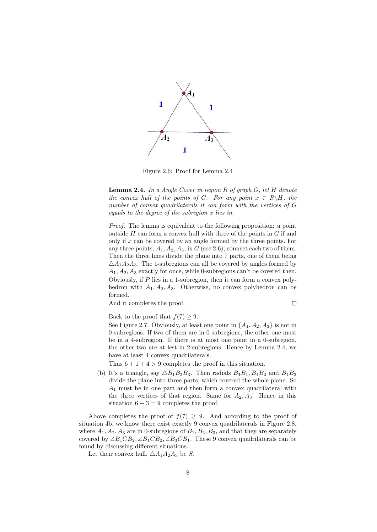

Figure 2.6: Proof for Lemma 2.4

Lemma 2.4. In a Angle Cover in region R of graph G, let H denote the convex hull of the points of G. For any point  $x \in R\backslash H$ , the number of convex quadrilaterals it can form with the vertices of G equals to the degree of the subregion x lies in.

Proof. The lemma is equivalent to the following proposition: a point outside  $H$  can form a convex hull with three of the points in  $G$  if and only if  $x$  can be covered by an angle formed by the three points. For any three points,  $A_1$ ,  $A_2$ ,  $A_3$ , in G (see 2.6), connect each two of them. Then the three lines divide the plane into 7 parts, one of them being  $\triangle A_1A_2A_3$ . The 1-subregions can all be covered by angles formed by  $A_1, A_2, A_3$  exactly for once, while 0-subregions can't be covered then. Obviously, if P lies in a 1-subregion, then it can form a convex polyhedron with  $A_1, A_2, A_3$ . Otherwise, no convex polyhedron can be formed.

And it completes the proof.

 $\Box$ 

Back to the proof that  $f(7) \geq 9$ .

See Figure 2.7. Obviously, at least one point in  $\{A_1, A_2, A_3\}$  is not in 0-subregions. If two of them are in 0-subregions, the other one must be in a 4-subregion. If there is at most one point in a 0-subregion, the other two are at lest in 2-subregions. Hence by Lemma 2.4, we have at least 4 convex quadrilaterals.

Thus  $6 + 1 + 4 > 9$  completes the proof in this situation.

(b) It's a triangle, say  $\triangle B_1B_2B_3$ . Then radials  $B_4B_1, B_4B_2$  and  $B_4B_3$ divide the plane into three parts, which covered the whole plane. So  $A_1$  must be in one part and then form a convex quadrilateral with the three vertices of that region. Same for  $A_2, A_3$ . Hence in this situation  $6 + 3 = 9$  completes the proof.

Above completes the proof of  $f(7) \geq 9$ . And according to the proof of situation 4b, we know there exist exactly 9 convex quadrilaterals in Figure 2.8, where  $A_1, A_2, A_3$  are in 0-subregions of  $B_1, B_2, B_3$ , and that they are separately covered by  $\angle B_1 C B_2, \angle B_1 C B_2, \angle B_3 C B_1$ . These 9 convex quadrilaterals can be found by discussing different situations.

Let their convex hull,  $\triangle A_1A_2A_3$  be S.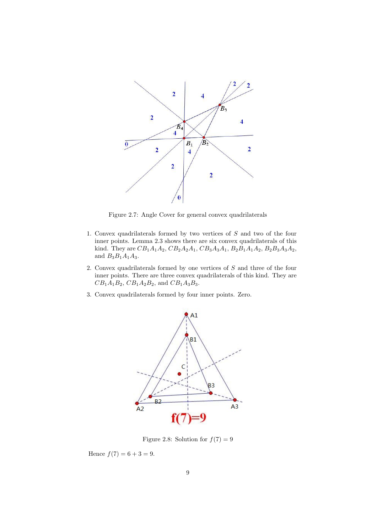

Figure 2.7: Angle Cover for general convex quadrilaterals

- 1. Convex quadrilaterals formed by two vertices of S and two of the four inner points. Lemma 2.3 shows there are six convex quadrilaterals of this kind. They are  $CB_1A_1A_2$ ,  $CB_2A_2A_1$ ,  $CB_3A_3A_1$ ,  $B_2B_1A_1A_2$ ,  $B_2B_3A_3A_2$ , and  $B_3B_1A_1A_3$ .
- 2. Convex quadrilaterals formed by one vertices of S and three of the four inner points. There are three convex quadrilaterals of this kind. They are  $CB_1A_1B_2$ ,  $CB_1A_2B_2$ , and  $CB_1A_3B_3$ .
- 3. Convex quadrilaterals formed by four inner points. Zero.



Figure 2.8: Solution for  $f(7) = 9$ 

Hence  $f(7) = 6 + 3 = 9$ .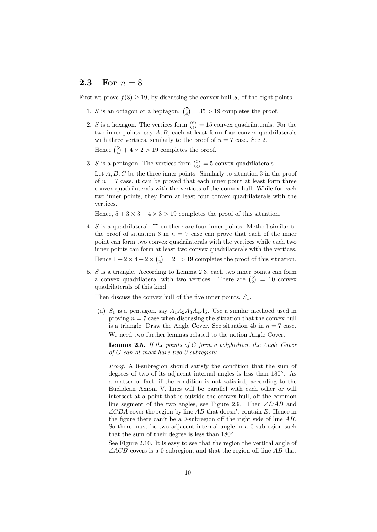#### 2.3 For  $n = 8$

First we prove  $f(8) \ge 19$ , by discussing the convex hull S, of the eight points.

- 1. S is an octagon or a heptagon.  $\binom{7}{4} = 35 > 19$  completes the proof.
- 2. S is a hexagon. The vertices form  $\binom{6}{4} = 15$  convex quadrilaterals. For the two inner points, say  $A, B$ , each at least form four convex quadrilaterals with three vertices, similarly to the proof of  $n = 7$  case. See 2.

Hence  $\binom{6}{4} + 4 \times 2 > 19$  completes the proof.

- 3. S is a pentagon. The vertices form  $\binom{5}{4} = 5$  convex quadrilaterals.
	- Let  $A, B, C$  be the three inner points. Similarly to situation 3 in the proof of  $n = 7$  case, it can be proved that each inner point at least form three convex quadrilaterals with the vertices of the convex hull. While for each two inner points, they form at least four convex quadrilaterals with the vertices.

Hence,  $5 + 3 \times 3 + 4 \times 3 > 19$  completes the proof of this situation.

4. S is a quadrilateral. Then there are four inner points. Method similar to the proof of situation 3 in  $n = 7$  case can prove that each of the inner point can form two convex quadrilaterals with the vertices while each two inner points can form at least two convex quadrilaterals with the vertices.

Hence  $1 + 2 \times 4 + 2 \times \binom{4}{2} = 21 > 19$  completes the proof of this situation.

5. S is a triangle. According to Lemma 2.3, each two inner points can form a convex quadrilateral with two vertices. There are  $\binom{5}{2} = 10$  convex quadrilaterals of this kind.

Then discuss the convex hull of the five inner points,  $S_1$ .

(a)  $S_1$  is a pentagon, say  $A_1A_2A_3A_4A_5$ . Use a similar methoed used in proving  $n = 7$  case when discussing the situation that the convex hull is a triangle. Draw the Angle Cover. See situation 4b in  $n = 7$  case. We need two further lemmas related to the notion Angle Cover.

**Lemma 2.5.** If the points of  $G$  form a polyhedron, the Angle Cover of G can at most have two 0-subregions.

Proof. A 0-subregion should satisfy the condition that the sum of degrees of two of its adjacent internal angles is less than 180◦ . As a matter of fact, if the condition is not satisfied, according to the Euclidean Axiom V, lines will be parallel with each other or will intersect at a point that is outside the convex hull, off the common line segment of the two angles, see Figure 2.9. Then ∠DAB and  $\angle CBA$  cover the region by line AB that doesn't contain E. Hence in the figure there can't be a 0-subregion off the right side of line AB. So there must be two adjacent internal angle in a 0-subregion such that the sum of their degree is less than  $180^\circ$ .

See Figure 2.10. It is easy to see that the region the vertical angle of  $\angle ACB$  covers is a 0-subregion, and that the region off line AB that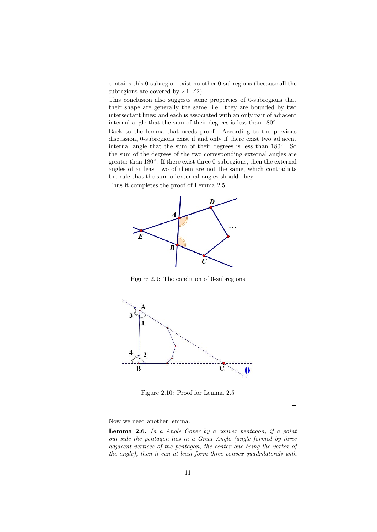contains this 0-subregion exist no other 0-subregions (because all the subregions are covered by  $\angle 1, \angle 2$ .

This conclusion also suggests some properties of 0-subregions that their shape are generally the same, i.e. they are bounded by two intersectant lines; and each is associated with an only pair of adjacent internal angle that the sum of their degrees is less than 180◦ .

Back to the lemma that needs proof. According to the previous discussion, 0-subregions exist if and only if there exist two adjacent internal angle that the sum of their degrees is less than 180◦ . So the sum of the degrees of the two corresponding external angles are greater than 180°. If there exist three 0-subregions, then the external angles of at least two of them are not the same, which contradicts the rule that the sum of external angles should obey. Thus it completes the proof of Lemma 2.5.



Figure 2.9: The condition of 0-subregions



Figure 2.10: Proof for Lemma 2.5

 $\Box$ 

Now we need another lemma.

Lemma 2.6. In a Angle Cover by a convex pentagon, if a point out side the pentagon lies in a Great Angle (angle formed by three adjacent vertices of the pentagon, the center one being the vertex of the angle), then it can at least form three convex quadrilaterals with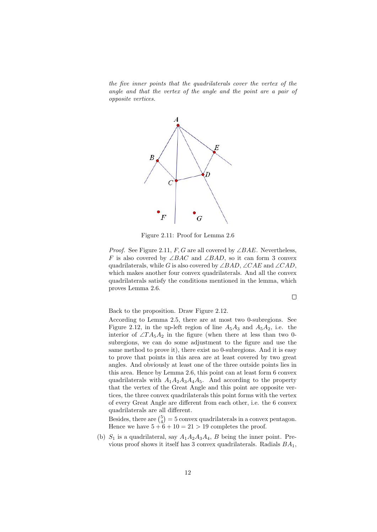the five inner points that the quadrilaterals cover the vertex of the angle and that the vertex of the angle and the point are a pair of opposite vertices.



Figure 2.11: Proof for Lemma 2.6

*Proof.* See Figure 2.11, F, G are all covered by  $\angle BAE$ . Nevertheless, F is also covered by ∠BAC and ∠BAD, so it can form 3 convex quadrilaterals, while G is also covered by ∠BAD, ∠CAE and ∠CAD, which makes another four convex quadrilaterals. And all the convex quadrilaterals satisfy the conditions mentioned in the lemma, which proves Lemma 2.6.

 $\Box$ 

Back to the proposition. Draw Figure 2.12.

According to Lemma 2.5, there are at most two 0-subregions. See Figure 2.12, in the up-left region of line  $A_5A_3$  and  $A_5A_2$ , i.e. the interior of  $\angle TA_5A_2$  in the figure (when there at less than two 0subregions, we can do some adjustment to the figure and use the same method to prove it), there exist no 0-subregions. And it is easy to prove that points in this area are at least covered by two great angles. And obviously at least one of the three outside points lies in this area. Hence by Lemma 2.6, this point can at least form 6 convex quadrilaterals with  $A_1A_2A_3A_4A_5$ . And according to the property that the vertex of the Great Angle and this point are opposite vertices, the three convex quadrilaterals this point forms with the vertex of every Great Angle are different from each other, i.e. the 6 convex quadrilaterals are all different.

Besides, there are  $\binom{5}{4} = 5$  convex quadrilaterals in a convex pentagon. Hence we have  $5 + 6 + 10 = 21 > 19$  completes the proof.

(b)  $S_1$  is a quadrilateral, say  $A_1A_2A_3A_4$ , B being the inner point. Previous proof shows it itself has 3 convex quadrilaterals. Radials  $BA<sub>1</sub>$ ,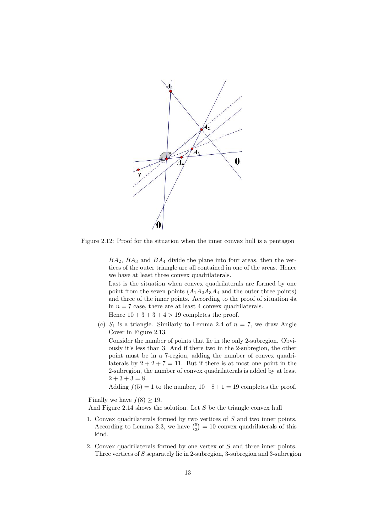

Figure 2.12: Proof for the situation when the inner convex hull is a pentagon

 $BA_2$ ,  $BA_3$  and  $BA_4$  divide the plane into four areas, then the vertices of the outer triangle are all contained in one of the areas. Hence we have at least three convex quadrilaterals.

Last is the situation when convex quadrilaterals are formed by one point from the seven points  $(A_1A_2A_3A_4$  and the outer three points) and three of the inner points. According to the proof of situation 4a in  $n = 7$  case, there are at least 4 convex quadrilaterals.

Hence  $10 + 3 + 3 + 4 > 19$  completes the proof.

(c)  $S_1$  is a triangle. Similarly to Lemma 2.4 of  $n = 7$ , we draw Angle Cover in Figure 2.13.

Consider the number of points that lie in the only 2-subregion. Obviously it's less than 3. And if there two in the 2-subregion, the other point must be in a 7-region, adding the number of convex quadrilaterals by  $2 + 2 + 7 = 11$ . But if there is at most one point in the 2-subregion, the number of convex quadrilaterals is added by at least  $2 + 3 + 3 = 8.$ 

Adding  $f(5) = 1$  to the number,  $10 + 8 + 1 = 19$  completes the proof.

Finally we have  $f(8) \geq 19$ .

And Figure 2.14 shows the solution. Let S be the triangle convex hull

- 1. Convex quadrilaterals formed by two vertices of S and two inner points. According to Lemma 2.3, we have  $\binom{5}{2} = 10$  convex quadrilaterals of this kind.
- 2. Convex quadrilaterals formed by one vertex of S and three inner points. Three vertices of S separately lie in 2-subregion, 3-subregion and 3-subregion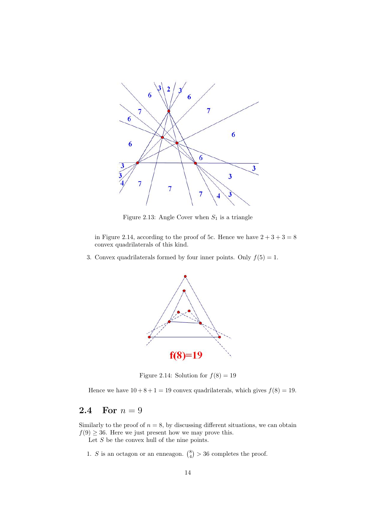

Figure 2.13: Angle Cover when  $S_1$  is a triangle

in Figure 2.14, according to the proof of 5c. Hence we have  $2 + 3 + 3 = 8$ convex quadrilaterals of this kind.

3. Convex quadrilaterals formed by four inner points. Only  $f(5) = 1$ .



Figure 2.14: Solution for  $f(8) = 19$ 

Hence we have  $10 + 8 + 1 = 19$  convex quadrilaterals, which gives  $f(8) = 19$ .

#### 2.4 For  $n=9$

Similarly to the proof of  $n = 8$ , by discussing different situations, we can obtain  $f(9) \geq 36$ . Here we just present how we may prove this.

Let S be the convex hull of the nine points.

1. S is an octagon or an enneagon.  $\binom{8}{4}$  > 36 completes the proof.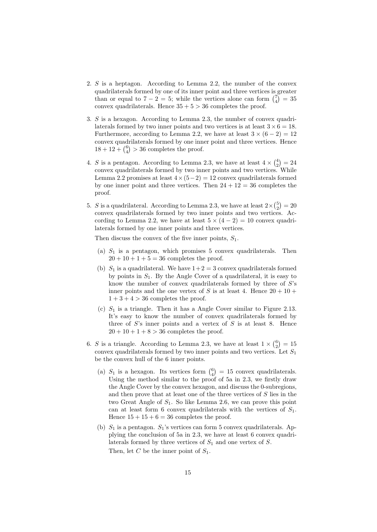- 2. S is a heptagon. According to Lemma 2.2, the number of the convex quadrilaterals formed by one of its inner point and three vertices is greater than or equal to  $7 - 2 = 5$ ; while the vertices alone can form  $\binom{7}{4} = 35$ convex quadrilaterals. Hence  $35 + 5 > 36$  completes the proof.
- 3. S is a hexagon. According to Lemma 2.3, the number of convex quadrilaterals formed by two inner points and two vertices is at least  $3 \times 6 = 18$ . Furthermore, according to Lemma 2.2, we have at least  $3 \times (6 - 2) = 12$ convex quadrilaterals formed by one inner point and three vertices. Hence  $18 + 12 + {6 \choose 4} > 36$  completes the proof.
- 4. S is a pentagon. According to Lemma 2.3, we have at least  $4 \times {4 \choose 2} = 24$ convex quadrilaterals formed by two inner points and two vertices. While Lemma 2.2 promises at least  $4 \times (5-2) = 12$  convex quadrilaterals formed by one inner point and three vertices. Then  $24 + 12 = 36$  completes the proof.
- 5. S is a quadrilateral. According to Lemma 2.3, we have at least  $2 \times {5 \choose 2} = 20$ convex quadrilaterals formed by two inner points and two vertices. According to Lemma 2.2, we have at least  $5 \times (4 - 2) = 10$  convex quadrilaterals formed by one inner points and three vertices.

Then discuss the convex of the five inner points,  $S_1$ .

- (a)  $S_1$  is a pentagon, which promises 5 convex quadrilaterals. Then  $20 + 10 + 1 + 5 = 36$  completes the proof.
- (b)  $S_1$  is a quadrilateral. We have  $1+2=3$  convex quadrilaterals formed by points in  $S_1$ . By the Angle Cover of a quadrilateral, it is easy to know the number of convex quadrilaterals formed by three of S's inner points and the one vertex of S is at least 4. Hence  $20 + 10 +$  $1+3+4>36$  completes the proof.
- (c)  $S_1$  is a triangle. Then it has a Angle Cover similar to Figure 2.13. It's easy to know the number of convex quadrilaterals formed by three of  $S$ 's inner points and a vertex of  $S$  is at least 8. Hence  $20 + 10 + 1 + 8 > 36$  completes the proof.
- 6. S is a triangle. According to Lemma 2.3, we have at least  $1 \times {6 \choose 2} = 15$ convex quadrilaterals formed by two inner points and two vertices. Let  $S_1$ be the convex hull of the 6 inner points.
	- (a)  $S_1$  is a hexagon. Its vertices form  $\binom{6}{4} = 15$  convex quadrilaterals. Using the method similar to the proof of 5a in 2.3, we firstly draw the Angle Cover by the convex hexagon, and discuss the 0-subregions, and then prove that at least one of the three vertices of S lies in the two Great Angle of  $S_1$ . So like Lemma 2.6, we can prove this point can at least form 6 convex quadrilaterals with the vertices of  $S_1$ . Hence  $15 + 15 + 6 = 36$  completes the proof.
	- (b)  $S_1$  is a pentagon.  $S_1$ 's vertices can form 5 convex quadrilaterals. Applying the conclusion of 5a in 2.3, we have at least 6 convex quadrilaterals formed by three vertices of  $S_1$  and one vertex of  $S$ . Then, let C be the inner point of  $S_1$ .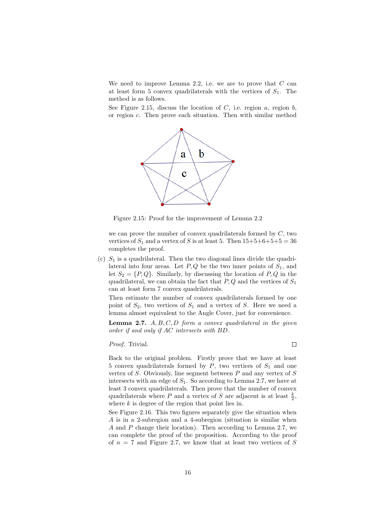We need to improve Lemma 2.2, i.e. we are to prove that  $C$  can at least form 5 convex quadrilaterals with the vertices of  $S_1$ . The method is as follows.

See Figure 2.15, discuss the location of  $C$ , i.e. region  $a$ , region  $b$ , or region c. Then prove each situation. Then with similar method



Figure 2.15: Proof for the improvement of Lemma 2.2

we can prove the number of convex quadrilaterals formed by  $C$ , two vertices of  $S_1$  and a vertex of S is at least 5. Then  $15+5+6+5+5=36$ completes the proof.

(c)  $S_1$  is a quadrilateral. Then the two diagonal lines divide the quadrilateral into four areas. Let  $P, Q$  be the two inner points of  $S_1$ , and let  $S_2 = \{P, Q\}$ . Similarly, by discussing the location of P, Q in the quadrilateral, we can obtain the fact that  $P, Q$  and the vertices of  $S_1$ can at least form 7 convex quadrilaterals.

Then estimate the number of convex quadrilaterals formed by one point of  $S_2$ , two vertices of  $S_1$  and a vertex of S. Here we need a lemma almost equivalent to the Angle Cover, just for convenience.

**Lemma 2.7.**  $A, B, C, D$  form a convex quadrilateral in the given order if and only if AC intersects with BD.

Proof. Trivial.

 $\Box$ 

Back to the original problem. Firstly prove that we have at least 5 convex quadrilaterals formed by  $P$ , two vertices of  $S_1$  and one vertex of  $S$ . Obviously, line segment between  $P$  and any vertex of  $S$ intersects with an edge of  $S_1$ . So according to Lemma 2.7, we have at least 3 convex quadrilaterals. Then prove that the number of convex quadrilaterals where  $P$  and a vertex of  $S$  are adjacent is at least  $\frac{k}{2}$ , where  $k$  is degree of the region that point lies in.

See Figure 2.16. This two figures separately give the situation when A is in a 2-subregion and a 4-subregion (situation is similar when A and P change their location). Then according to Lemma 2.7, we can complete the proof of the proposition. According to the proof of  $n = 7$  and Figure 2.7, we know that at least two vertices of S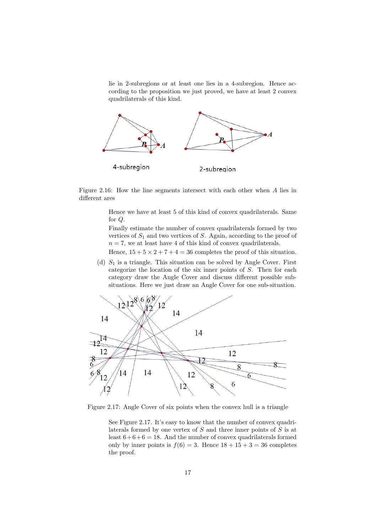lie in 2-subregions or at least one lies in a 4-subregion. Hence according to the proposition we just proved, we have at least 2 convex quadrilaterals of this kind.



Figure 2.16: How the line segments intersect with each other when A lies in different ares

> Hence we have at least 5 of this kind of convex quadrilaterals. Same for Q.

> Finally estimate the number of convex quadrilaterals formed by two vertices of  $S_1$  and two vertices of S. Again, according to the proof of  $n = 7$ , we at least have 4 of this kind of convex quadrilaterals.

> Hence,  $15 + 5 \times 2 + 7 + 4 = 36$  completes the proof of this situation.

(d)  $S_1$  is a triangle. This situation can be solved by Angle Cover. First categorize the location of the six inner points of S. Then for each category draw the Angle Cover and discuss different possible subsituations. Here we just draw an Angle Cover for one sub-situation.



Figure 2.17: Angle Cover of six points when the convex hull is a triangle

See Figure 2.17. It's easy to know that the number of convex quadrilaterals formed by one vertex of S and three inner points of S is at least  $6+6+6=18$ . And the number of convex quadrilaterals formed only by inner points is  $f(6) = 3$ . Hence  $18 + 15 + 3 = 36$  completes the proof.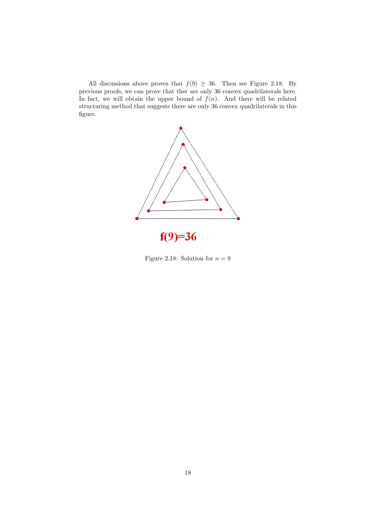All discussions above proves that  $f(9) \geq 36$ . Then see Figure 2.18. By previous proofs, we can prove that ther are only 36 convex quadrilaterals here. In fact, we will obtain the upper bound of  $f(n)$ . And there will be related structuring method that suggests there are only 36 convex quadrilaterals in this figure.



Figure 2.18: Solution for  $n=9$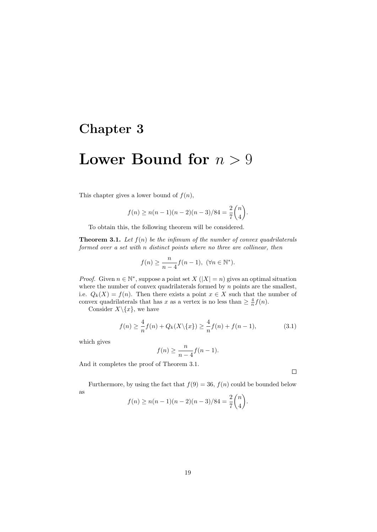### Chapter 3

## Lower Bound for  $n > 9$

This chapter gives a lower bound of  $f(n)$ ,

$$
f(n) \ge n(n-1)(n-2)(n-3)/84 = \frac{2}{7} {n \choose 4}.
$$

To obtain this, the following theorem will be considered.

**Theorem 3.1.** Let  $f(n)$  be the infimum of the number of convex quadrilaterals formed over a set with n distinct points where no three are collinear, then

$$
f(n) \ge \frac{n}{n-4} f(n-1), \ (\forall n \in \mathbb{N}^*).
$$

*Proof.* Given  $n \in \mathbb{N}^*$ , suppose a point set  $X(|X|=n)$  gives an optimal situation where the number of convex quadrilaterals formed by  $n$  points are the smallest, i.e.  $Q_k(X) = f(n)$ . Then there exists a point  $x \in X$  such that the number of convex quadrilaterals that has x as a vertex is no less than  $\geq \frac{4}{n} f(n)$ .

Consider  $X \setminus \{x\}$ , we have

$$
f(n) \ge \frac{4}{n} f(n) + Q_k(X \setminus \{x\}) \ge \frac{4}{n} f(n) + f(n-1),
$$
\n(3.1)

which gives

$$
f(n) \ge \frac{n}{n-4} f(n-1).
$$

And it completes the proof of Theorem 3.1.

Furthermore, by using the fact that  $f(9) = 36$ ,  $f(n)$  could be bounded below as n

$$
f(n) \ge n(n-1)(n-2)(n-3)/84 = \frac{2}{7}\binom{n}{4}.
$$

 $\Box$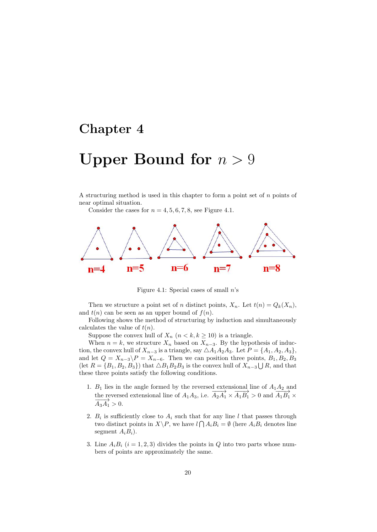## Chapter 4

# Upper Bound for  $n > 9$

A structuring method is used in this chapter to form a point set of  $n$  points of near optimal situation.

Consider the cases for  $n = 4, 5, 6, 7, 8$ , see Figure 4.1.



Figure 4.1: Special cases of small  $n$ 's

Then we structure a point set of n distinct points,  $X_n$ . Let  $t(n) = Q_k(X_n)$ , and  $t(n)$  can be seen as an upper bound of  $f(n)$ .

Following shows the method of structuring by induction and simultaneously calculates the value of  $t(n)$ .

Suppose the convex hull of  $X_n$   $(n < k, k \ge 10)$  is a triangle.

When  $n = k$ , we structure  $X_n$  based on  $X_{n-3}$ . By the hypothesis of induction, the convex hull of  $X_{n-3}$  is a triangle, say  $\triangle A_1A_2A_3$ . Let  $P = \{A_1, A_2, A_3\}$ , and let  $Q = X_{n-3} \backslash P = X_{n-6}$ . Then we can position three points,  $B_1, B_2, B_3$ (let  $R = \{B_1, B_2, B_3\}$ ) that  $\triangle B_1 B_2 B_3$  is the convex hull of  $X_{n-3} \bigcup R$ , and that these three points satisfy the following conditions.

- 1.  $B_1$  lies in the angle formed by the reversed extensional line of  $A_1A_2$  and  $L_1$  has m the angle formed by the reversed extensional line of  $A_1A_3$ , i.e.  $A_2A_1 \times \overline{A_1B_1} > 0$  and  $\overline{A_1B_1} \times \overline{A_2B_2}$  $\overrightarrow{A_3A_1} > 0.$
- 2.  $B_i$  is sufficiently close to  $A_i$  such that for any line l that passes through two distinct points in  $X \backslash P$ , we have  $l \bigcap A_i B_i = \emptyset$  (here  $A_i B_i$  denotes line segment  $A_iB_i$ ).
- 3. Line  $A_i B_i$   $(i = 1, 2, 3)$  divides the points in Q into two parts whose numbers of points are approximately the same.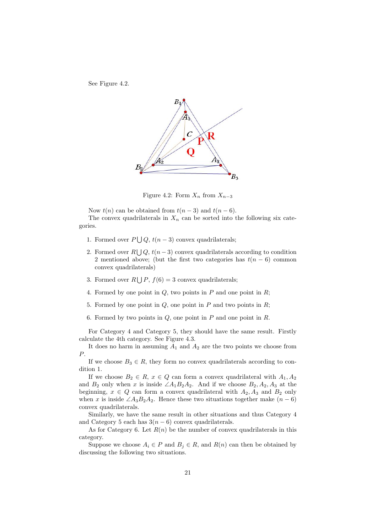See Figure 4.2.



Figure 4.2: Form  $X_n$  from  $X_{n-3}$ 

Now  $t(n)$  can be obtained from  $t(n-3)$  and  $t(n-6)$ .

The convex quadrilaterals in  $X_n$  can be sorted into the following six categories.

- 1. Formed over  $P \bigcup Q$ ,  $t(n-3)$  convex quadrilaterals;
- 2. Formed over  $R \bigcup Q$ ,  $t(n-3)$  convex quadrilaterals according to condition 2 mentioned above; (but the first two categories has  $t(n-6)$  common convex quadrilaterals)
- 3. Formed over  $R \bigcup P$ ,  $f(6) = 3$  convex quadrilaterals;
- 4. Formed by one point in  $Q$ , two points in  $P$  and one point in  $R$ ;
- 5. Formed by one point in  $Q$ , one point in  $P$  and two points in  $R$ ;
- 6. Formed by two points in  $Q$ , one point in  $P$  and one point in  $R$ .

For Category 4 and Category 5, they should have the same result. Firstly calculate the 4th category. See Figure 4.3.

It does no harm in assuming  $A_1$  and  $A_2$  are the two points we choose from P.

If we choose  $B_3 \in R$ , they form no convex quadrilaterals according to condition 1.

If we choose  $B_2 \in R$ ,  $x \in Q$  can form a convex quadrilateral with  $A_1, A_2$ and  $B_2$  only when x is inside  $\angle A_1B_2A_2$ . And if we choose  $B_2, A_2, A_3$  at the beginning,  $x \in Q$  can form a convex quadrilateral with  $A_2, A_3$  and  $B_2$  only when x is inside  $\angle A_3B_2A_2$ . Hence these two situations together make  $(n-6)$ convex quadrilaterals.

Similarly, we have the same result in other situations and thus Category 4 and Category 5 each has  $3(n-6)$  convex quadrilaterals.

As for Category 6. Let  $R(n)$  be the number of convex quadrilaterals in this category.

Suppose we choose  $A_i \in P$  and  $B_j \in R$ , and  $R(n)$  can then be obtained by discussing the following two situations.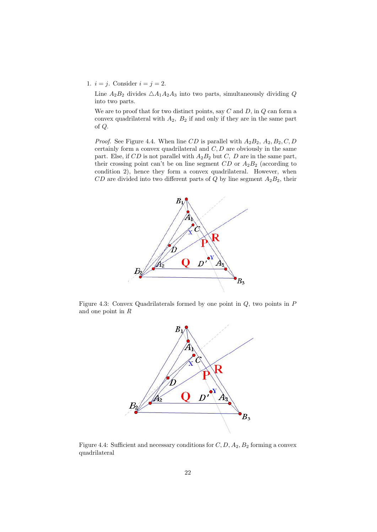1.  $i = j$ . Consider  $i = j = 2$ .

Line  $A_2B_2$  divides  $\triangle A_1A_2A_3$  into two parts, simultaneously dividing Q into two parts.

We are to proof that for two distinct points, say  $C$  and  $D$ , in  $Q$  can form a convex quadrilateral with  $A_2$ ,  $B_2$  if and only if they are in the same part of Q.

*Proof.* See Figure 4.4. When line CD is parallel with  $A_2B_2$ ,  $A_2$ ,  $B_2$ , C, D certainly form a convex quadrilateral and  $C, D$  are obviously in the same part. Else, if  $CD$  is not parallel with  $A_2B_2$  but  $C$ ,  $D$  are in the same part, their crossing point can't be on line segment  $CD$  or  $A_2B_2$  (according to condition 2), hence they form a convex quadrilateral. However, when  $CD$  are divided into two different parts of Q by line segment  $A_2B_2$ , their



Figure 4.3: Convex Quadrilaterals formed by one point in  $Q$ , two points in  $P$ and one point in R



Figure 4.4: Sufficient and necessary conditions for  $C, D, A_2, B_2$  forming a convex quadrilateral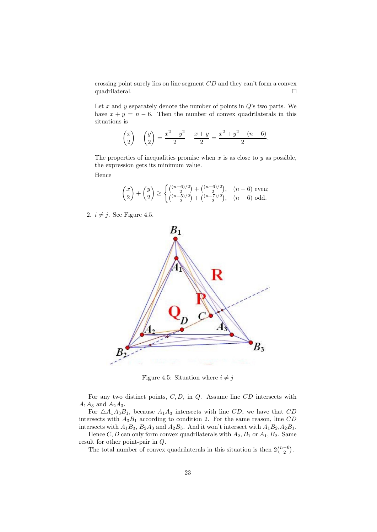crossing point surely lies on line segment CD and they can't form a convex quadrilateral.  $\Box$ 

Let  $x$  and  $y$  separately denote the number of points in  $Q$ 's two parts. We have  $x + y = n - 6$ . Then the number of convex quadrilaterals in this situations is

$$
\binom{x}{2} + \binom{y}{2} = \frac{x^2 + y^2}{2} - \frac{x + y}{2} = \frac{x^2 + y^2 - (n - 6)}{2}.
$$

The properties of inequalities promise when  $x$  is as close to  $y$  as possible, the expression gets its minimum value.

Hence

$$
\binom{x}{2} + \binom{y}{2} \ge \begin{cases} \binom{(n-6)/2}{2} + \binom{(n-6)/2}{2}, & (n-6) \text{ even;}\\ \binom{(n-5)/2}{2} + \binom{(n-7)/2}{2}, & (n-6) \text{ odd.} \end{cases}
$$

2.  $i \neq j$ . See Figure 4.5.



Figure 4.5: Situation where  $i \neq j$ 

For any two distinct points,  $C, D$ , in  $Q$ . Assume line  $CD$  intersects with  $A_1A_3$  and  $A_2A_3$ .

For  $\triangle A_1A_3B_1$ , because  $A_1A_3$  intersects with line CD, we have that CD intersects with  $A_3B_1$  according to condition 2. For the same reason, line CD intersects with  $A_1B_3$ ,  $B_2A_3$  and  $A_2B_3$ . And it won't intersect with  $A_1B_2$ ,  $A_2B_1$ .

Hence C, D can only form convex quadrilaterals with  $A_2, B_1$  or  $A_1, B_2$ . Same result for other point-pair in Q.

The total number of convex quadrilaterals in this situation is then  $2\binom{n-6}{2}$ .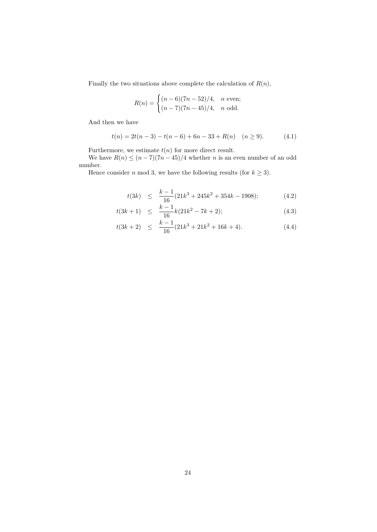Finally the two situations above complete the calculation of  $R(n)$ ,

$$
R(n) = \begin{cases} (n-6)(7n-52)/4, & n \text{ even};\\ (n-7)(7n-45)/4, & n \text{ odd}. \end{cases}
$$

And then we have

$$
t(n) = 2t(n-3) - t(n-6) + 6n - 33 + R(n) \quad (n \ge 9). \tag{4.1}
$$

Furthermore, we estimate  $t(n)$  for more direct result.

We have  $R(n) \le (n-7)(7n-45)/4$  whether *n* is an even number of an odd number.

Hence consider *n* mod 3, we have the following results (for  $k \geq 3$ ).

$$
t(3k) \le \frac{k-1}{16}(21k^3 + 245k^2 + 354k - 1908); \tag{4.2}
$$

$$
t(3k+1) \leq \frac{k-1}{16}k(21k^2 - 7k + 2); \tag{4.3}
$$

$$
t(3k+2) \leq \frac{k-1}{16}(21k^3+21k^2+16k+4). \tag{4.4}
$$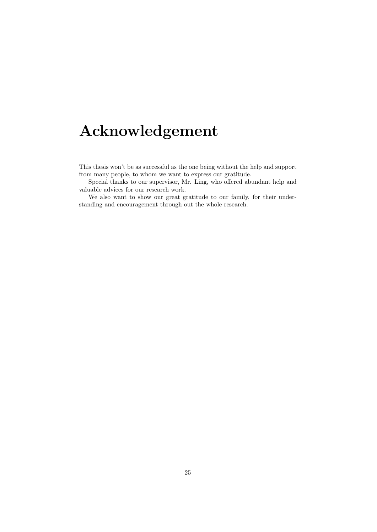# Acknowledgement

This thesis won't be as successful as the one being without the help and support from many people, to whom we want to express our gratitude.

Special thanks to our supervisor, Mr. Ling, who offered abundant help and valuable advices for our research work.

We also want to show our great gratitude to our family, for their understanding and encouragement through out the whole research.